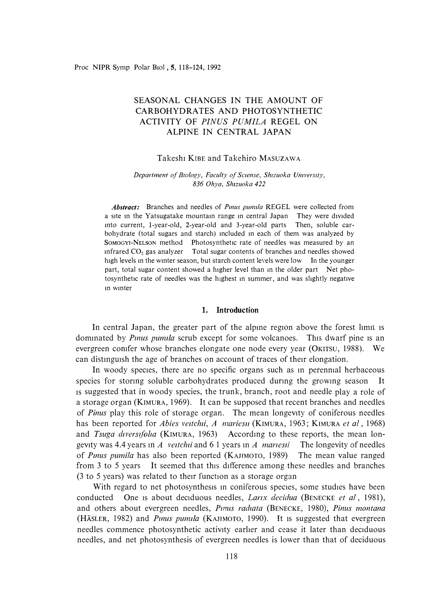# SEASONAL CHANGES IN THE AMOUNT OF CARBOHYDRATES AND PHOTOSYNTHETIC ACTIVITY OF *PINUS PUMILA* REGEL ON ALPINE IN CENTRAL JAPAN

## Takeshi KIBE and Takehiro MASUZAWA

#### *Department of Biology, Faculty of Sciense, Shizuoka University, 836 Ohya, Shizuoka 422*

*Abstract:* Branches and needles of *Punus pumila* REGEL were collected from a site in the Yatsugatake mountain range in central Japan They were divided mto current, 1-year-old, 2-year-old and 3-year-old parts Then, soluble carbohydrate (total sugars and starch) mcluded m each of them was analyzed by SOMOGYI-NELSON method Photosynthetic rate of needles was measured by an infrared  $CO<sub>2</sub>$  gas analyzer Total sugar contents of branches and needles showed high levels in the winter season, but starch content levels were low In the younger part, total sugar content showed a higher level than m the older part Net photosynthetic rate of needles was the highest m summer, and was slightly negative m wmter

## **1. Introduction**

In central Japan, the greater part of the alpme region above the forest limit is dominated by *Pinus pumila* scrub except for some volcanoes. This dwarf pine is an evergreen comfer whose branches elongate one node every year (OKITSU, 1988). We can distinguish the age of branches on account of traces of their elongation.

In woody species, there are no specific organs such as in perennial herbaceous species for stormg soluble carbohydrates produced dunng the growmg season It 1s suggested that in woody species, the trunk, branch, root and needle play a role of a storage organ (KIMURA, 1969). It can be supposed that recent branches and needles of *Pinus* play this role of storage organ. The mean longevity of coniferous needles has been reported for *Abies veztchzi, A mariesn* (KIMURA, 1963; KIMURA *et al* , 1968) and *Tsuga diversifolia* (KIMURA, 1963) According to these reports, the mean longevity was 4.4 years m *A veztchzi* and 6 1 years m *A marzeszi* The longevity of needles of *Punus pumila* has also been reported (KAJIMOTO, 1989) The mean value ranged from 3 to 5 years It seemed that this difference among these needles and branches (3 to 5 years) was related to their function as a storage organ

With regard to net photosynthesis in coniferous species, some studies have been conducted One 1s about deciduous needles, *Lanx decidua* (BENECKE *et al,* 1981), and others about evergreen needles, *Pinus radiata* (BENECKE, 1980), *Pinus montana* (HÄSLER, 1982) and *Pinus pumila* (KAJIMOTO, 1990). It is suggested that evergreen needles commence photosynthetic activity earlier and cease it later than deciduous needles, and net photosynthesis of evergreen needles is lower than that of deciduous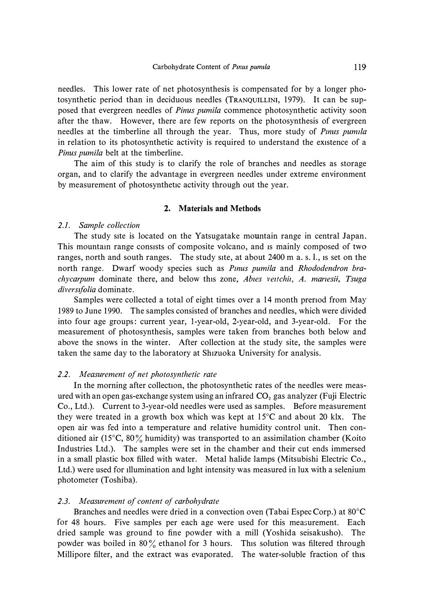**needles. This lower rate of net photosynthesis is compensated for by a longer photosynthetic period than in deciduous needles (TRANQUILLINI, 1979). It can be supposed that evergreen needles of** *Pinus pumila* **commence photosynthetic activity soon after the thaw. However, there are few reports on the photosynthesis of evergreen**  needles at the timberline all through the year. Thus, more study of *Pinus pumila* **in relation to its photosynthetic activity is required to understand the existence of a**  *Pinus pumila* **belt at the timberline.** 

**The aim of this study is to clarify the role of branches and needles as storage organ, and to clarify the advantage in evergreen needles under extreme environment by measurement of photosynthetic activity through out the year.** 

## **2. Materials and Methods**

#### *2.1. Sample collection*

**The study site is located on the Yatsugatake mountain range in central Japan. This mountam range consists of composite volcano, and 1s mainly composed of two ranges, north and south ranges. The study site, at about 2400 m a. s. 1., 1s set on the**  north range. Dwarf woody species such as *Pinus pumila* and *Rhododendron brachycarpum* dominate there, and below this zone, *Abies veitchii, A. mariesii, Tsuga diverszfolia* **dominate.** 

**Samples were collected a total of eight times over a 14 month prenod from May 1989 to June 1990. The samples consisted of branches and needles, which were divided into four age groups: current year, I-year-old, 2-year-old, and 3-year-old. For the measurement of photosynthesis, samples were taken from branches both below and above the snows in the winter. After collection at the study site, the samples were taken the same day to the laboratory at Shizuoka University for analysis.** 

#### *2.2. Measurement of net photosynthetic rate*

In the morning after collection, the photosynthetic rates of the needles were meas**ured with an open gas-exchange system using an infrared CO**2 **gas analyzer (Fuji Electric Co., Ltd.). Current to 3-year-old needles were used as samples. Before measurement they were treated in a growth box which was kept at l 5**°**C and about 20 klx. The open air was fed into a temperature and relative humidity control unit. Then conditioned air (15**°**C, 80 % humidity) was transported to an assimilation chamber (Koito Industries Ltd.). The samples were set in the chamber and their cut ends immersed in a small plastic box filled with water. Metal halide lamps (Mitsubishi Electric Co., Ltd.) were used for 1llumination and light intensity was measured in lux with a selenium photometer (Toshiba).** 

### *2.3. Measurement of content of carbohydrate*

**Branches and needles were dried in a convection oven (Tabai Espec Corp.) at 80**°**C**  for 48 hours. Five samples per each age were used for this measurement. Each dried sample was ground to fine powder with a mill (Yoshida seisakusho). The **powder was boiled in 80 % ethanol for 3 hours. This solution was filtered through**  Millipore filter, and the extract was evaporated. The water-soluble fraction of this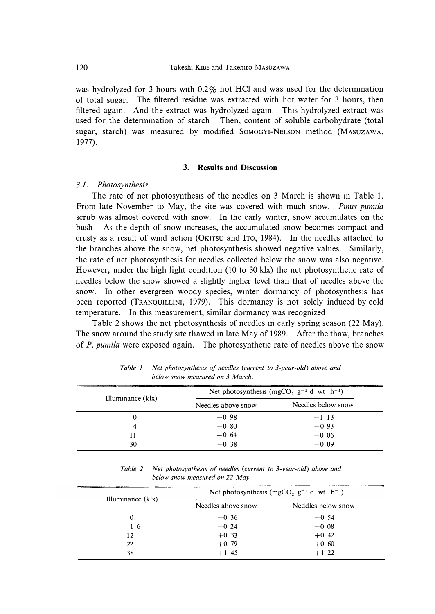**was hydrolyzed for 3 hours with 0.2% hot HCl and was used for the determmation of total sugar. The filtered residue was extracted with hot water for 3 hours, then filtered agam. And the extract was hydrolyzed agam. This hydrolyzed extract was used for the determmation of starch Then, content of soluble carbohydrate (total sugar, starch) was measured by modified SOMOGYI-NELSON method (MASUZAWA, 1977).** 

### **3. Results and Discussion**

## *3.1. Photosynthesis*

**The rate of net photosynthesis of the needles on 3 March is shown m Table 1.**  From late November to May, the site was covered with much snow. *Pinus pumila* **scrub was almost covered with snow. In the early wmter, snow accumulates on the bush As the depth of snow mcreases, the accumulated snow becomes compact and**  crusty as a result of wind action (OKITSU and ITO, 1984). In the needles attached to **the branches above the snow, net photosynthesis showed negative values. Similarly, the rate of net photosynthesis for needles collected below the snow was also negative.**  However, under the high light condition (10 to 30 klx) the net photosynthetic rate of **needles below the snow showed a slightly higher level than that of needles above the snow. In other evergreen woody species, wmter dormancy of photosynthesis has been reported (TRANQUILLINI, 1979). This dormancy is not solely induced by cold temperature. In this measurement, similar dormancy was recognized** 

**Table 2 shows the net photosynthesis of needles m early spring season (22 May). The snow around the study site thawed m late May of 1989. After the thaw, branches of** *P. pumila* **were exposed again. The photosynthetic rate of needles above the snow** 

| Illuminance (klx) | Net photosynthesis (mgCO <sub>2</sub> $g^{-1}$ d wt h <sup>-1</sup> ) |                    |
|-------------------|-----------------------------------------------------------------------|--------------------|
|                   | Needles above snow                                                    | Needles below snow |
| 0                 | $-0.98$                                                               | $-1$ 13            |
| 4                 | $-0.80$                                                               | $-0.93$            |
| 11                | $-0.64$                                                               | $-0.06$            |
| 30                | $-0.38$                                                               | $-0.09$            |

*Table 1 Net photosynthesis of needles (current to 3-year-old) above and below snow measured on 3 March.* 

*Table 2 Net photosynthesis of needles (current to 3-year-old) above and below snow measured on 22 May* 

| Illuminance $(kx)$ | Net photosynthesis (mgCO <sub>2</sub> $g^{-1}$ d wt $\cdot h^{-1}$ ) |                    |
|--------------------|----------------------------------------------------------------------|--------------------|
|                    | Needles above snow                                                   | Neddles below snow |
| 0                  | $-0.36$                                                              | $-0.54$            |
| 16                 | $-0.24$                                                              | $-0.08$            |
| 12                 | $+0.33$                                                              | $+0.42$            |
| 22                 | $+0.79$                                                              | $+0.60$            |
| 38                 | $+1.45$                                                              | $+1$ 22            |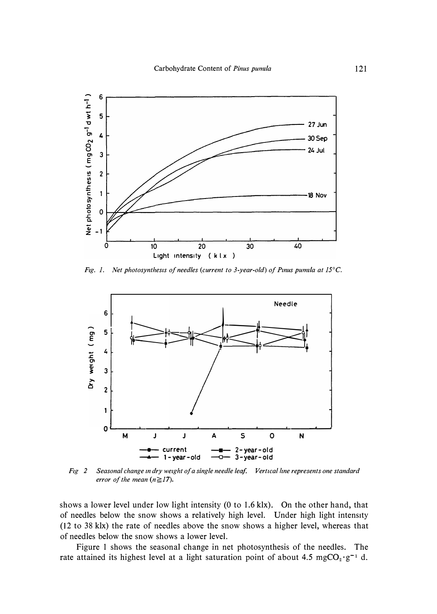

*Fig. 1. Net photosynthesis of needles (current to 3-year-old) of Pinus pumila at 15<sup>°</sup>C.* 



*Ftg 2 Seasonal change m dry weight of a single needle leaf. Vertical !me represents one standard error of the mean*  $(n \ge 17)$ .

**shows a lower level under low light intensity (0 to 1.6 klx). On the other hand, that of needles below the snow shows a relatively high level. Under high light intensity (12 to 38 klx) the rate of needles above the snow shows a higher level, whereas that of needles below the snow shows a lower level.** 

**Figure 1 shows the seasonal change in net photosynthesis of the needles. The**  rate attained its highest level at a light saturation point of about 4.5 mgCO<sub>2</sub>·g<sup>-1</sup> d.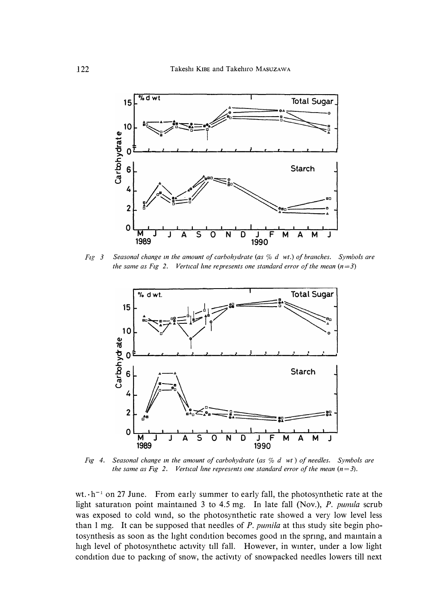

*Fig* 3 Seasonal change in the amount of carbohydrate (as  $%$  d wt.) of branches. Symbols are *the same as Fig 2. Vertical line represents one standard error of the mean*  $(n=3)$ 



*Fig 4. Seasonal change in the amount of carbohydrate (as*  $%$  *d wt) of needles. Symbols are the same as Fig 2. Vertical line represents one standard error of the mean*  $(n=3)$ *.* 

wt.  $\cdot$ h<sup>-1</sup> on 27 June. From early summer to early fall, the photosynthetic rate at the light saturation point maintained 3 to 4.5 mg. In late fall (Nov.), *P. pumila* scrub **was exposed to cold wmd, so the photosynthetic rate showed a very low level less**  than 1 mg. It can be supposed that needles of *P. pumila* at this study site begin pho**tosynthesis as soon as the light condition becomes good m the sprmg, and mamtain a high level of photosynthetic activity till fall. However, in wmter, under a low light condition due to packmg of snow, the activity of snowpacked needles lowers till next**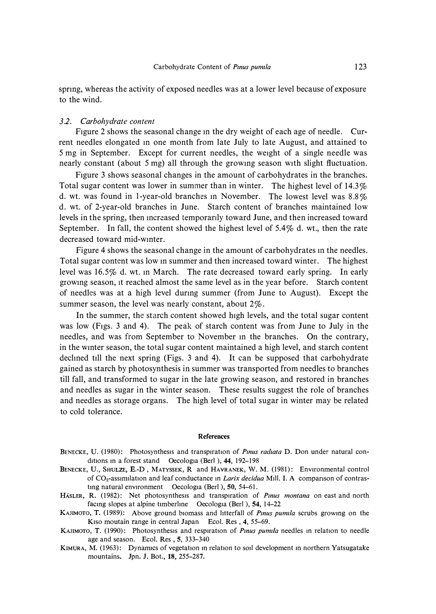**sprmg, whereas the activity of exposed needles was at a lower level because of exposure to the wind.** 

#### *3.2. Carbohydrate content*

**Figure 2 shows the seasonal change m the dry weight of each age of needle. Current needles elongated m one month from late July to late August, and attained to 5 mg in September. Except for current needles, the weight of a single needle was nearly constant ( about 5 mg) all through the growmg season with slight fluctuation.** 

**Figure 3 shows seasonal changes in the amount of carbohydrates in the branches. Total sugar content was lower in summer than in winter. The highest level of 14.3% d. wt. was found in I-year-old branches m November. The lowest level was 8.8% d. wt. of 2-year-old branches in June. Starch content of branches maintained low**  levels in the spring, then increased temporarily toward June, and then increased toward **September. In fall, the content showed the highest level of 5.4% d. wt., then the rate decreased toward mid-wmter.** 

Figure 4 shows the seasonal change in the amount of carbohydrates in the needles. Total sugar content was low in summer and then increased toward winter. The highest **level was 16.5% d. wt. m March. The rate decreased toward early spring. In early growmg season, 1t reached almost the same level as in the year before. Starch content of needles was at a high level durmg summer (from June to August). Except the summer season, the level was nearly constant, about 2%.** 

**In the summer, the starch content showed high levels, and the total sugar content was low (Figs. 3 and 4). The peak of starch content was from June to July in the needles, and was from September to November m the branches. On the contrary, in the wmter season, the total sugar content maintained a high level, and starch content declmed till the next spring (Figs. 3 and 4). It can be supposed that carbohydrate gained as starch by photosynthesis in summer was transported from needles to branches till fall, and transformed to sugar in the late growing season, and restored in branches and needles as sugar in the winter season. These results suggest the role of branches and needles as storage organs. The high level of total sugar in winter may be related to cold tolerance.** 

#### *References*

- **BENECKE, U. (1980):** Photosynthesis and transpiration of *Pinus radiata* D. Don under natural cond<sub>1</sub>tions in a forest stand Oecologia (Berl ), 44, 192-198
- *BENECKE ,* u., *SHULZE, E.-D, MATYSSEK, R and HAVRANEK,* w. *M. (1981): Environmental control*  of CO<sub>2</sub>-assimilation and leaf conductance in *Larix decidua* Mill. I. A comparison of contras*tmg natural environment Oecologia (Berl ), 50, 54-61.*
- HASLER, R. (1982): Net photosynthesis and transpiration of *Pinus montana* on east and north *facmg slopes at alpine t1mberlme Oecologia (Berl ), 54, 14-22*
- KAJIMOTO, T. (1989): Above ground biomass and litterfall of *Pinus pumila* scrubs growing on the *K*<sub>1so</sub> moutain range in central Japan Ecol. Res , 4, 55-69.
- *KAJIMOTO, T. (1990): Photosynthesis and respiration of Pmus pum1la needles m relation to needle age and season. Ecol. Res , 5, 333-340*
- *KIMURA, M. (1963): Dynamics of vegetation m relation to soil development m northern Yatsugatake mountains. Jpn. J. Bot., 18, 255-287.*